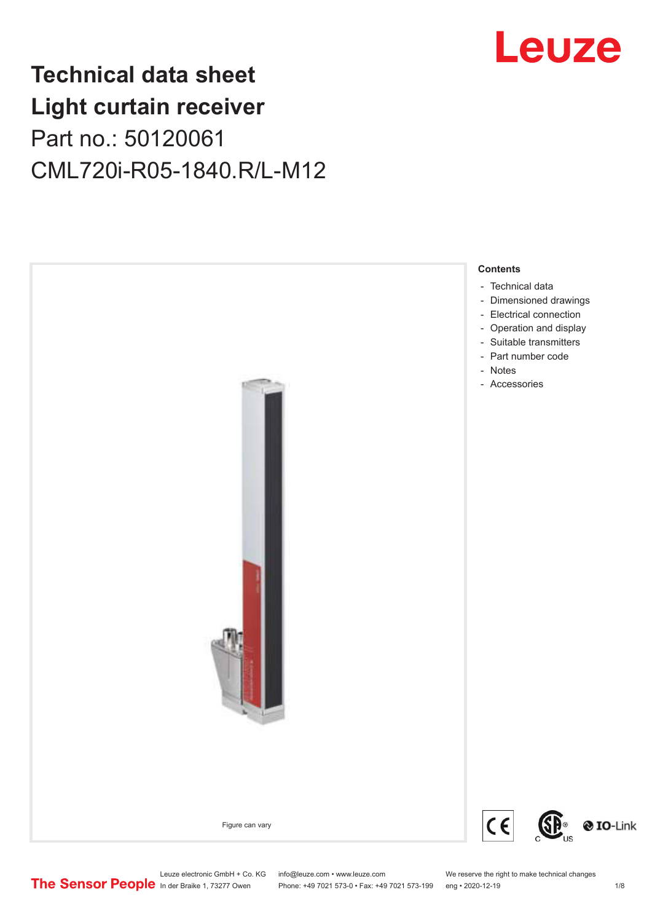## **Technical data sheet Light curtain receiver** Part no.: 50120061 CML720i-R05-1840.R/L-M12



Leuze electronic GmbH + Co. KG info@leuze.com • www.leuze.com We reserve the right to make technical changes<br>
The Sensor People in der Braike 1, 73277 Owen Phone: +49 7021 573-0 • Fax: +49 7021 573-199 eng • 2020-12-19

Phone: +49 7021 573-0 • Fax: +49 7021 573-199 eng • 2020-12-19



Leuze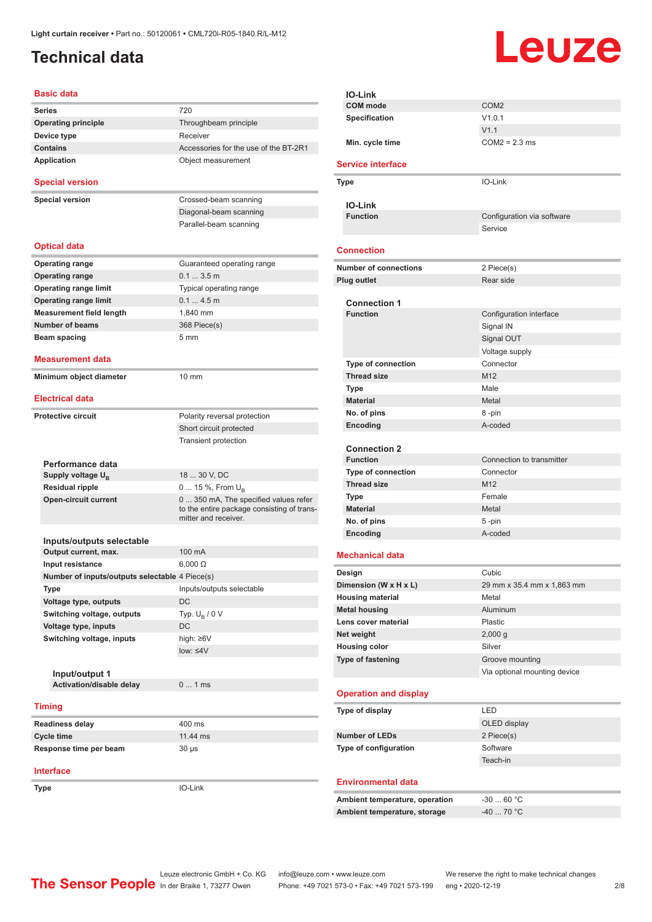## <span id="page-1-0"></span>**Technical data**

# Leuze

### **Basic data Series** 720 **Operating principle** Throughbeam principle **Device type** Receiver **Contains Contains Accessories** for the use of the BT-2R1 Application **Contract Contract Contract Contract Contract Contract Contract Contract Contract Contract Contract Contract Contract Contract Contract Contract Contract Contract Contract Contract Contract Contract Contract Co Special version Special version** Crossed-beam scanning

| <b>Optical data</b>             |                            |
|---------------------------------|----------------------------|
| <b>Operating range</b>          | Guaranteed operating range |
| <b>Operating range</b>          | $0.13.5$ m                 |
| <b>Operating range limit</b>    | Typical operating range    |
| <b>Operating range limit</b>    | $0.14.5$ m                 |
| <b>Measurement field length</b> | 1.840 mm                   |
| Number of beams                 | 368 Piece(s)               |
| Beam spacing                    | $5 \text{ mm}$             |

Diagonal-beam scanning Parallel-beam scanning

#### **Measurement data**

**Minimum object diameter** 10 mm

#### **Electrical data**

| Protective circuit | Polarity reversal protection |
|--------------------|------------------------------|
|                    | Short circuit protected      |
|                    | <b>Transient protection</b>  |
|                    |                              |
| Performance data   |                              |

| Feriormance uala              |                                                                                                             |
|-------------------------------|-------------------------------------------------------------------------------------------------------------|
| Supply voltage U <sub>P</sub> | 18  30 V. DC                                                                                                |
| Residual ripple               | $0 15 \%$ , From $U_{p}$                                                                                    |
| Open-circuit current          | 0  350 mA, The specified values refer<br>to the entire package consisting of trans-<br>mitter and receiver. |

| Inputs/outputs selectable                      |                           |
|------------------------------------------------|---------------------------|
| Output current, max.                           | 100 mA                    |
| Input resistance                               | $6.000 \Omega$            |
| Number of inputs/outputs selectable 4 Piece(s) |                           |
| <b>Type</b>                                    | Inputs/outputs selectable |
| Voltage type, outputs                          | DC.                       |
| Switching voltage, outputs                     | Typ. $U_R / 0 V$          |
| Voltage type, inputs                           | DC.                       |
| Switching voltage, inputs                      | high: $\geq 6V$           |
|                                                | $low: \leq 4V$            |
|                                                |                           |
| Input/output 1                                 |                           |
| Activation/disable delay                       | $0 \quad 1 \text{ ms}$    |
|                                                |                           |

#### **Timing**

| <b>Readiness delay</b> | $400$ ms |
|------------------------|----------|
| Cycle time             | 11.44 ms |
| Response time per beam | 30 us    |

#### **Interface**

**Type** IO-Link

| IO-Link                        |                              |
|--------------------------------|------------------------------|
| <b>COM</b> mode                | COM <sub>2</sub>             |
| Specification                  | V1.0.1                       |
|                                | V1.1                         |
| Min. cycle time                | $COM2 = 2.3$ ms              |
|                                |                              |
| <b>Service interface</b>       |                              |
| Type                           | IO-Link                      |
| <b>IO-Link</b>                 |                              |
| <b>Function</b>                | Configuration via software   |
|                                | Service                      |
|                                |                              |
| <b>Connection</b>              |                              |
| <b>Number of connections</b>   | 2 Piece(s)                   |
| Plug outlet                    | Rear side                    |
| <b>Connection 1</b>            |                              |
| <b>Function</b>                | Configuration interface      |
|                                | Signal IN                    |
|                                | Signal OUT                   |
|                                | Voltage supply               |
| <b>Type of connection</b>      | Connector                    |
| <b>Thread size</b>             | M12                          |
|                                | Male                         |
| Type                           |                              |
| <b>Material</b>                | Metal                        |
| No. of pins                    | 8-pin                        |
| Encoding                       | A-coded                      |
| <b>Connection 2</b>            |                              |
| <b>Function</b>                | Connection to transmitter    |
| <b>Type of connection</b>      | Connector                    |
| <b>Thread size</b>             | M <sub>12</sub>              |
| <b>Type</b>                    | Female                       |
| <b>Material</b>                | Metal                        |
| No. of pins                    | 5 -pin                       |
| Encoding                       | A-coded                      |
|                                |                              |
| <b>Mechanical data</b>         |                              |
| Design                         | Cubic                        |
| Dimension (W x H x L)          | 29 mm x 35.4 mm x 1,863 mm   |
| <b>Housing material</b>        | Metal                        |
| <b>Metal housing</b>           | Aluminum                     |
| Lens cover material            | Plastic                      |
| Net weight                     | 2,000 g                      |
| <b>Housing color</b>           | Silver                       |
| Type of fastening              | Groove mounting              |
|                                | Via optional mounting device |
| <b>Operation and display</b>   |                              |
|                                |                              |
| Type of display                | LED                          |
|                                | OLED display                 |
| <b>Number of LEDs</b>          | 2 Piece(s)                   |
| Type of configuration          | Software                     |
|                                | Teach-in                     |
| <b>Environmental data</b>      |                              |
|                                |                              |
| Ambient temperature, operation | $-3060 °C$                   |
| Ambient temperature, storage   | $-40$ 70 °C                  |
|                                |                              |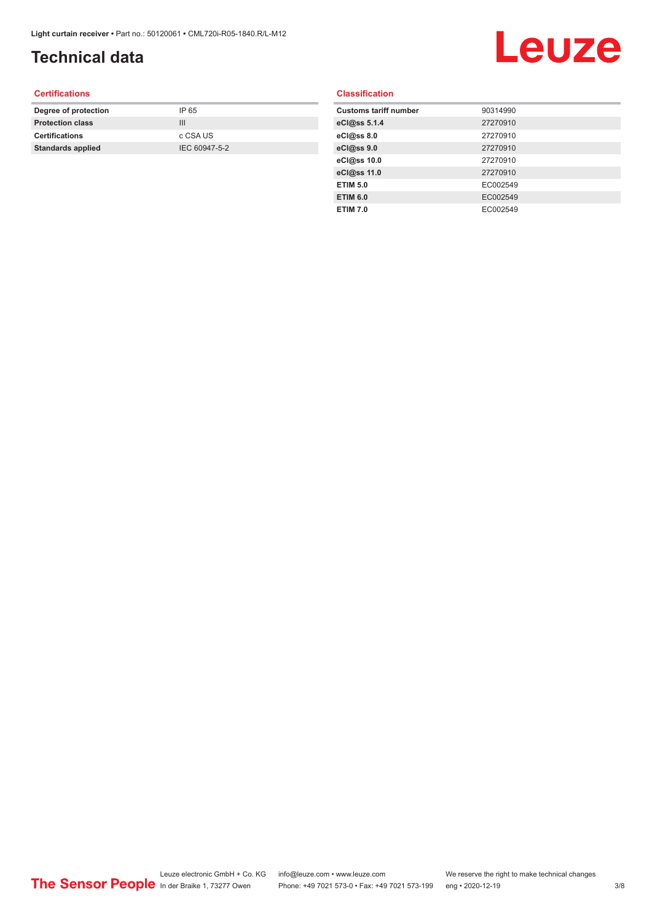## **Technical data**

## Leuze

#### **Certifications**

| Degree of protection     | IP 65         |
|--------------------------|---------------|
| <b>Protection class</b>  | Ш             |
| <b>Certifications</b>    | c CSA US      |
| <b>Standards applied</b> | IEC 60947-5-2 |
|                          |               |

### **Classification**

| <b>Customs tariff number</b> | 90314990 |
|------------------------------|----------|
| eCl@ss 5.1.4                 | 27270910 |
| eCl@ss 8.0                   | 27270910 |
| eCl@ss 9.0                   | 27270910 |
| eCl@ss 10.0                  | 27270910 |
| eCl@ss 11.0                  | 27270910 |
| <b>ETIM 5.0</b>              | EC002549 |
| <b>ETIM 6.0</b>              | EC002549 |
| <b>ETIM 7.0</b>              | EC002549 |
|                              |          |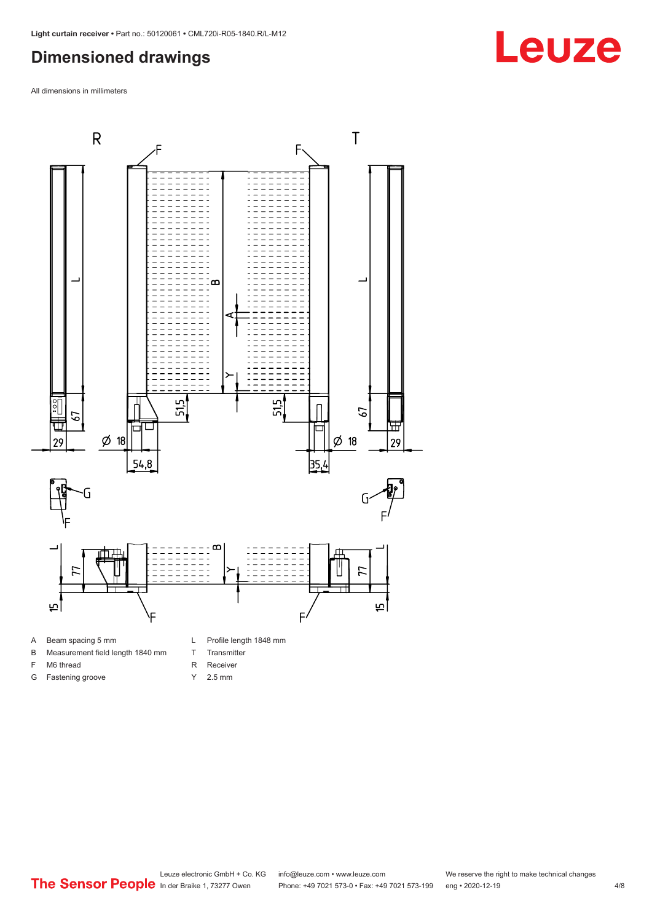## <span id="page-3-0"></span>**Dimensioned drawings**

All dimensions in millimeters



A Beam spacing 5 mm

G Fastening groove

- B Measurement field length 1840 mm
- F M6 thread
- R Receiver
	- Y 2.5 mm

T Transmitter

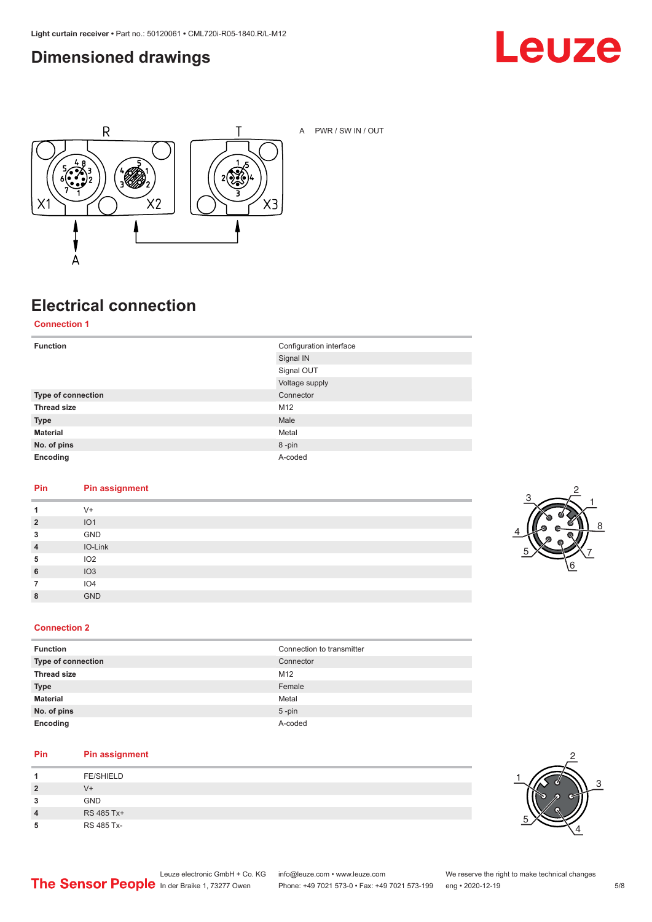## <span id="page-4-0"></span>**Dimensioned drawings**





A PWR / SW IN / OUT

## **Electrical connection**

**Connection 1**

| <b>Function</b>    | Configuration interface |
|--------------------|-------------------------|
|                    | Signal IN               |
|                    | Signal OUT              |
|                    | Voltage supply          |
| Type of connection | Connector               |
| <b>Thread size</b> | M12                     |
| <b>Type</b>        | Male                    |
| <b>Material</b>    | Metal                   |
| No. of pins        | 8-pin                   |
| Encoding           | A-coded                 |

#### **Pin Pin assignment**

| 1              | $V +$           |
|----------------|-----------------|
| $\overline{2}$ | IO1             |
| 3              | GND             |
| $\overline{4}$ | IO-Link         |
| 5              | IO2             |
| 6              | IO3             |
|                | IO <sub>4</sub> |
| 8              | <b>GND</b>      |



#### **Connection 2**

| <b>Function</b>           | Connection to transmitter |
|---------------------------|---------------------------|
| <b>Type of connection</b> | Connector                 |
| <b>Thread size</b>        | M <sub>12</sub>           |
| <b>Type</b>               | Female                    |
| <b>Material</b>           | Metal                     |
| No. of pins               | $5$ -pin                  |
| Encoding                  | A-coded                   |

#### **Pin Pin assignment**

|                         | <b>FE/SHIELD</b> |
|-------------------------|------------------|
|                         |                  |
| 2                       | V+               |
| 3                       | <b>GND</b>       |
| $\overline{\mathbf{4}}$ | RS 485 Tx+       |
| 5                       | RS 485 Tx-       |

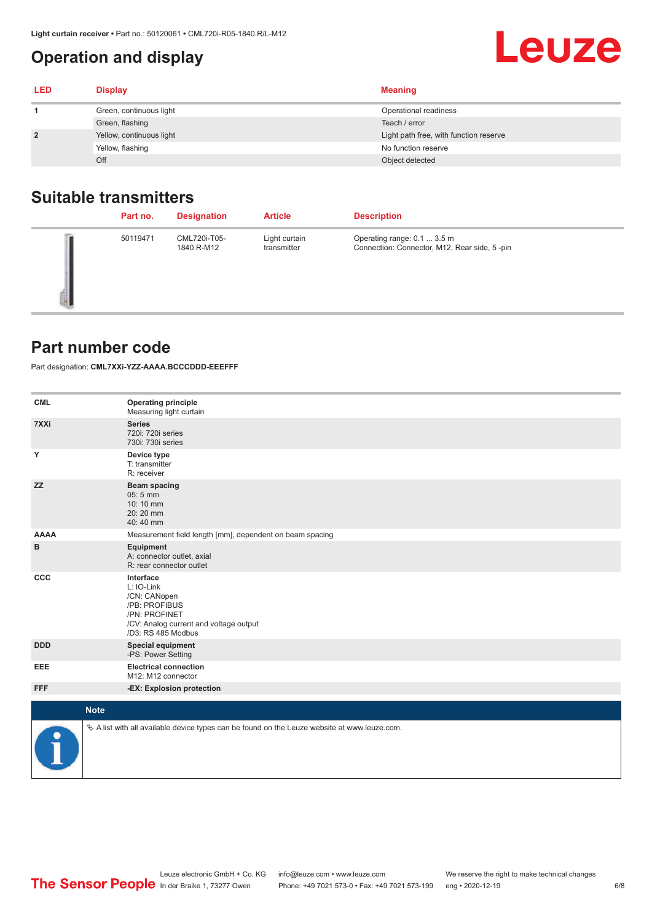## <span id="page-5-0"></span>**Operation and display**

| <b>LED</b>     | <b>Display</b>           | <b>Meaning</b>                         |
|----------------|--------------------------|----------------------------------------|
|                | Green, continuous light  | Operational readiness                  |
|                | Green, flashing          | Teach / error                          |
| $\overline{2}$ | Yellow, continuous light | Light path free, with function reserve |
|                | Yellow, flashing         | No function reserve                    |
|                | Off                      | Object detected                        |

## **Suitable transmitters**

| Part no. | <b>Designation</b>         | <b>Article</b>               | <b>Description</b>                                                          |
|----------|----------------------------|------------------------------|-----------------------------------------------------------------------------|
| 50119471 | CML720i-T05-<br>1840.R-M12 | Light curtain<br>transmitter | Operating range: 0.1  3.5 m<br>Connection: Connector, M12, Rear side, 5-pin |

## **Part number code**

Part designation: **CML7XXi-YZZ-AAAA.BCCCDDD-EEEFFF**

| <b>CML</b>           | <b>Operating principle</b><br>Measuring light curtain                                                                                     |
|----------------------|-------------------------------------------------------------------------------------------------------------------------------------------|
| 7XXi                 | <b>Series</b><br>720i: 720i series<br>730i: 730i series                                                                                   |
| Υ                    | Device type<br>T: transmitter<br>R: receiver                                                                                              |
| <b>ZZ</b>            | <b>Beam spacing</b><br>$05:5$ mm<br>10:10 mm<br>20:20 mm<br>40:40 mm                                                                      |
| <b>AAAA</b>          | Measurement field length [mm], dependent on beam spacing                                                                                  |
| в                    | Equipment<br>A: connector outlet, axial<br>R: rear connector outlet                                                                       |
| CCC                  | Interface<br>L: IO-Link<br>/CN: CANopen<br>/PB: PROFIBUS<br>/PN: PROFINET<br>/CV: Analog current and voltage output<br>/D3: RS 485 Modbus |
| <b>DDD</b>           | <b>Special equipment</b><br>-PS: Power Setting                                                                                            |
| EEE                  | <b>Electrical connection</b><br>M12: M12 connector                                                                                        |
| <b>FFF</b>           | -EX: Explosion protection                                                                                                                 |
|                      | <b>Note</b>                                                                                                                               |
| $\frac{1}{\sqrt{2}}$ | $\&$ A list with all available device types can be found on the Leuze website at www.leuze.com.                                           |

**Leuze**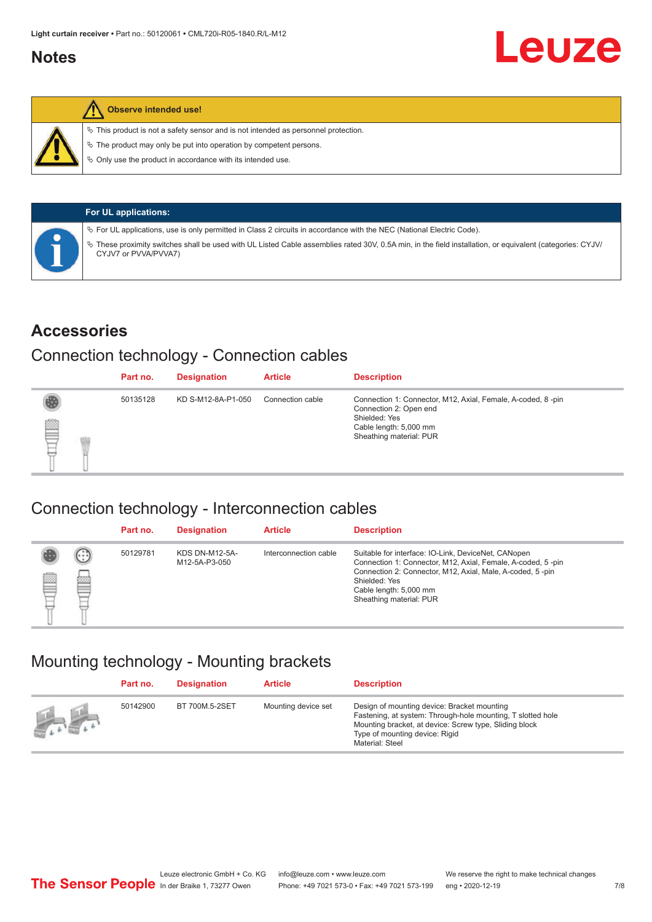## <span id="page-6-0"></span>**Notes**



#### **Observe intended use!**

 $\%$  This product is not a safety sensor and is not intended as personnel protection.

 $\%$  The product may only be put into operation by competent persons.

 $\%$  Only use the product in accordance with its intended use.

| <b>For UL applications:</b>                                                                                                                                                     |
|---------------------------------------------------------------------------------------------------------------------------------------------------------------------------------|
| $\%$ For UL applications, use is only permitted in Class 2 circuits in accordance with the NEC (National Electric Code).                                                        |
| These proximity switches shall be used with UL Listed Cable assemblies rated 30V, 0.5A min, in the field installation, or equivalent (categories: CYJV/<br>CYJV7 or PVVA/PVVA7) |

### **Accessories**

## Connection technology - Connection cables

|   | Part no. | <b>Designation</b> | <b>Article</b>   | <b>Description</b>                                                                                                                                          |
|---|----------|--------------------|------------------|-------------------------------------------------------------------------------------------------------------------------------------------------------------|
| § | 50135128 | KD S-M12-8A-P1-050 | Connection cable | Connection 1: Connector, M12, Axial, Female, A-coded, 8-pin<br>Connection 2: Open end<br>Shielded: Yes<br>Cable length: 5,000 mm<br>Sheathing material: PUR |

### Connection technology - Interconnection cables

|   |                      | Part no. | <b>Designation</b>                     | <b>Article</b>        | <b>Description</b>                                                                                                                                                                                                                                    |
|---|----------------------|----------|----------------------------------------|-----------------------|-------------------------------------------------------------------------------------------------------------------------------------------------------------------------------------------------------------------------------------------------------|
| ▤ | $(\cdot;\cdot)$<br>e | 50129781 | <b>KDS DN-M12-5A-</b><br>M12-5A-P3-050 | Interconnection cable | Suitable for interface: IO-Link, DeviceNet, CANopen<br>Connection 1: Connector, M12, Axial, Female, A-coded, 5-pin<br>Connection 2: Connector, M12, Axial, Male, A-coded, 5-pin<br>Shielded: Yes<br>Cable length: 5,000 mm<br>Sheathing material: PUR |

## Mounting technology - Mounting brackets

|                                               | Part no. | <b>Designation</b> | <b>Article</b>      | <b>Description</b>                                                                                                                                                                                                        |
|-----------------------------------------------|----------|--------------------|---------------------|---------------------------------------------------------------------------------------------------------------------------------------------------------------------------------------------------------------------------|
| $\frac{1}{2}$ , $\frac{1}{2}$ , $\frac{1}{2}$ | 50142900 | BT 700M.5-2SET     | Mounting device set | Design of mounting device: Bracket mounting<br>Fastening, at system: Through-hole mounting, T slotted hole<br>Mounting bracket, at device: Screw type, Sliding block<br>Type of mounting device: Rigid<br>Material: Steel |

Leuze